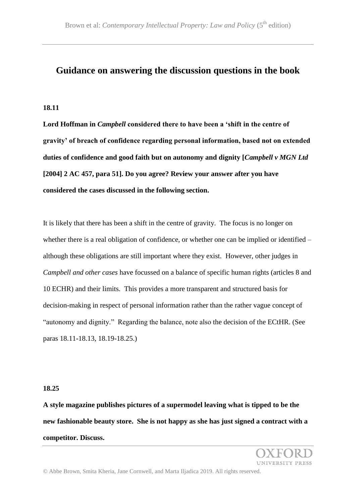# **Guidance on answering the discussion questions in the book**

## **18.11**

**Lord Hoffman in** *Campbell* **considered there to have been a 'shift in the centre of gravity' of breach of confidence regarding personal information, based not on extended duties of confidence and good faith but on autonomy and dignity [***Campbell v MGN Ltd* **[2004] 2 AC 457, para 51]. Do you agree? Review your answer after you have considered the cases discussed in the following section.**

It is likely that there has been a shift in the centre of gravity. The focus is no longer on whether there is a real obligation of confidence, or whether one can be implied or identified – although these obligations are still important where they exist*.* However, other judges in *Campbell and other cases* have focussed on a balance of specific human rights (articles 8 and 10 ECHR) and their limits. This provides a more transparent and structured basis for decision-making in respect of personal information rather than the rather vague concept of "autonomy and dignity." Regarding the balance, note also the decision of the ECtHR. (See paras 18.11-18.13, 18.19-18.25.)

#### **18.25**

**A style magazine publishes pictures of a supermodel leaving what is tipped to be the new fashionable beauty store. She is not happy as she has just signed a contract with a competitor. Discuss.** 

**VERSITY PRESS**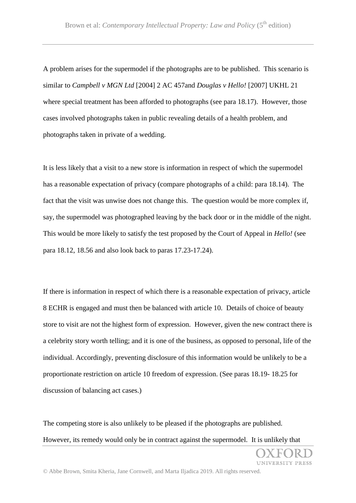A problem arises for the supermodel if the photographs are to be published. This scenario is similar to *Campbell v MGN Ltd* [2004] 2 AC 457and *Douglas v Hello!* [2007] UKHL 21 where special treatment has been afforded to photographs (see para 18.17). However, those cases involved photographs taken in public revealing details of a health problem, and photographs taken in private of a wedding.

It is less likely that a visit to a new store is information in respect of which the supermodel has a reasonable expectation of privacy (compare photographs of a child: para 18.14). The fact that the visit was unwise does not change this. The question would be more complex if, say, the supermodel was photographed leaving by the back door or in the middle of the night. This would be more likely to satisfy the test proposed by the Court of Appeal in *Hello!* (see para 18.12, 18.56 and also look back to paras 17.23-17.24).

If there is information in respect of which there is a reasonable expectation of privacy, article 8 ECHR is engaged and must then be balanced with article 10. Details of choice of beauty store to visit are not the highest form of expression. However, given the new contract there is a celebrity story worth telling; and it is one of the business, as opposed to personal, life of the individual. Accordingly, preventing disclosure of this information would be unlikely to be a proportionate restriction on article 10 freedom of expression. (See paras 18.19- 18.25 for discussion of balancing act cases.)

The competing store is also unlikely to be pleased if the photographs are published. However, its remedy would only be in contract against the supermodel. It is unlikely that

UNIVERSITY PRESS

© Abbe Brown, Smita Kheria, Jane Cornwell, and Marta Iljadica 2019. All rights reserved.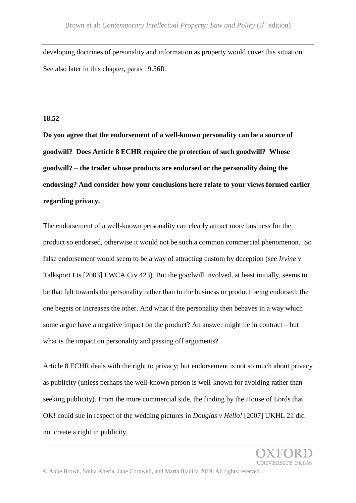developing doctrines of personality and information as property would cover this situation. See also later in this chapter, paras 19.56ff.

## **18.52**

**Do you agree that the endorsement of a well-known personality can be a source of goodwill? Does Article 8 ECHR require the protection of such goodwill? Whose goodwill? – the trader whose products are endorsed or the personality doing the endorsing? And consider how your conclusions here relate to your views formed earlier regarding privacy.**

The endorsement of a well-known personality can clearly attract more business for the product so endorsed, otherwise it would not be such a common commercial phenomenon. So false endorsement would seem to be a way of attracting custom by deception (see *Irvine* v Talksport Lts [2003] EWCA Civ 423). But the goodwill involved, at least initially, seems to be that felt towards the personality rather than to the business or product being endorsed; the one begets or increases the other. And what if the personality then behaves in a way which some argue have a negative impact on the product? An answer might lie in contract – but what is the impact on personality and passing off arguments?

Article 8 ECHR deals with the right to privacy; but endorsement is not so much about privacy as publicity (unless perhaps the well-known person is well-known for avoiding rather than seeking publicity). From the more commercial side, the finding by the House of Lords that OK! could sue in respect of the wedding pictures in *Douglas v Hello!* [2007] UKHL 21 did not create a right in publicity.

INIVERSITY PRESS